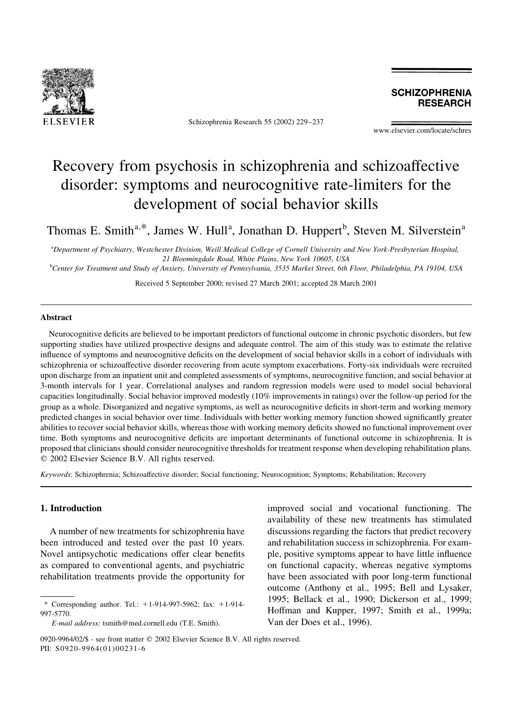

Schizophrenia Research 55 (2002) 229-237

**SCHIZOPHRENIA RESEARCH** 

www.elsevier.com/locate/schres

## Recovery from psychosis in schizophrenia and schizoaffective disorder: symptoms and neurocognitive rate-limiters for the development of social behavior skills

Thomas E. Smith<sup>a,\*</sup>, James W. Hull<sup>a</sup>, Jonathan D. Huppert<sup>b</sup>, Steven M. Silverstein<sup>a</sup>

<sup>a</sup>Department of Psychiatry, Westchester Division, Weill Medical College of Cornell University and New York-Presbyterian Hospital, 21 Bloomingdale Road, White Plains, New York 10605, USA

<sup>b</sup>Center for Treatment and Study of Anxiety, University of Pennsylvania, 3535 Market Street, 6th Floor, Philadelphia, PA 19104, USA

Received 5 September 2000; revised 27 March 2001; accepted 28 March 2001

## **Abstract**

Neurocognitive deficits are believed to be important predictors of functional outcome in chronic psychotic disorders, but few supporting studies have utilized prospective designs and adequate control. The aim of this study was to estimate the relative influence of symptoms and neurocognitive deficits on the development of social behavior skills in a cohort of individuals with schizophrenia or schizoaffective disorder recovering from acute symptom exacerbations. Forty-six individuals were recruited upon discharge from an inpatient unit and completed assessments of symptoms, neurocognitive function, and social behavior at 3-month intervals for 1 year. Correlational analyses and random regression models were used to model social behavioral capacities longitudinally. Social behavior improved modestly (10% improvements in ratings) over the follow-up period for the group as a whole. Disorganized and negative symptoms, as well as neurocognitive deficits in short-term and working memory predicted changes in social behavior over time. Individuals with better working memory function showed significantly greater abilities to recover social behavior skills, whereas those with working memory deficits showed no functional improvement over time. Both symptoms and neurocognitive deficits are important determinants of functional outcome in schizophrenia. It is proposed that clinicians should consider neurocognitive thresholds for treatment response when developing rehabilitation plans. © 2002 Elsevier Science B.V. All rights reserved.

Keywords: Schizophrenia; Schizoaffective disorder; Social functioning; Neurocognition; Symptoms; Rehabilitation; Recovery

### 1. Introduction

A number of new treatments for schizophrenia have been introduced and tested over the past 10 years. Novel antipsychotic medications offer clear benefits as compared to conventional agents, and psychiatric rehabilitation treatments provide the opportunity for

improved social and vocational functioning. The availability of these new treatments has stimulated discussions regarding the factors that predict recovery and rehabilitation success in schizophrenia. For example, positive symptoms appear to have little influence on functional capacity, whereas negative symptoms have been associated with poor long-term functional outcome (Anthony et al., 1995; Bell and Lysaker, 1995; Bellack et al., 1990; Dickerson et al., 1999; Hoffman and Kupper, 1997; Smith et al., 1999a; Van der Does et al., 1996).

<sup>\*</sup> Corresponding author. Tel.:  $+1-914-997-5962$ ; fax:  $+1-914-$ 997-5770.

E-mail address: tsmith@med.cornell.edu (T.E. Smith).

<sup>0920-9964/02/\$ -</sup> see front matter © 2002 Elsevier Science B.V. All rights reserved. PII: S0920-9964(01)00231-6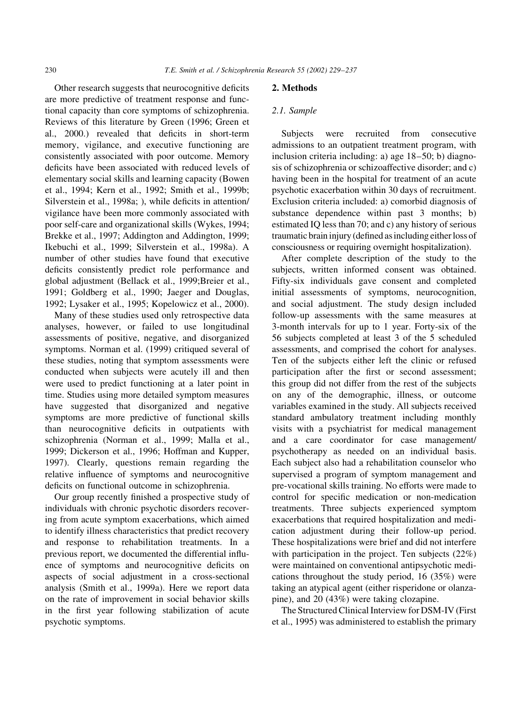Other research suggests that neurocognitive deficits are more predictive of treatment response and functional capacity than core symptoms of schizophrenia. Reviews of this literature by Green (1996; Green et al., 2000.) revealed that deficits in short-term memory, vigilance, and executive functioning are consistently associated with poor outcome. Memory deficits have been associated with reduced levels of elementary social skills and learning capacity (Bowen et al., 1994; Kern et al., 1992; Smith et al., 1999b; Silverstein et al., 1998a; ), while deficits in attention/ vigilance have been more commonly associated with poor self-care and organizational skills (Wykes, 1994; Brekke et al., 1997; Addington and Addington, 1999; Ikebuchi et al., 1999; Silverstein et al., 1998a). A number of other studies have found that executive deficits consistently predict role performance and global adjustment (Bellack et al., 1999;Breier et al., 1991; Goldberg et al., 1990; Jaeger and Douglas, 1992; Lysaker et al., 1995; Kopelowicz et al., 2000).

Many of these studies used only retrospective data analyses, however, or failed to use longitudinal assessments of positive, negative, and disorganized symptoms. Norman et al. (1999) critiqued several of these studies, noting that symptom assessments were conducted when subjects were acutely ill and then were used to predict functioning at a later point in time. Studies using more detailed symptom measures have suggested that disorganized and negative symptoms are more predictive of functional skills than neurocognitive deficits in outpatients with schizophrenia (Norman et al., 1999; Malla et al., 1999; Dickerson et al., 1996; Hoffman and Kupper, 1997). Clearly, questions remain regarding the relative influence of symptoms and neurocognitive deficits on functional outcome in schizophrenia.

Our group recently finished a prospective study of individuals with chronic psychotic disorders recovering from acute symptom exacerbations, which aimed to identify illness characteristics that predict recovery and response to rehabilitation treatments. In a previous report, we documented the differential influence of symptoms and neurocognitive deficits on aspects of social adjustment in a cross-sectional analysis (Smith et al., 1999a). Here we report data on the rate of improvement in social behavior skills in the first year following stabilization of acute psychotic symptoms.

### 2. Methods

#### 2.1. Sample

Subjects were recruited from consecutive admissions to an outpatient treatment program, with inclusion criteria including: a) age 18–50; b) diagnosis of schizophrenia or schizoaffective disorder; and c) having been in the hospital for treatment of an acute psychotic exacerbation within 30 days of recruitment. Exclusion criteria included: a) comorbid diagnosis of substance dependence within past 3 months; b) estimated IQ less than 70; and c) any history of serious traumatic brain injury (defined as including either loss of consciousness or requiring overnight hospitalization).

After complete description of the study to the subjects, written informed consent was obtained. Fifty-six individuals gave consent and completed initial assessments of symptoms, neurocognition, and social adjustment. The study design included follow-up assessments with the same measures at 3-month intervals for up to 1 year. Forty-six of the 56 subjects completed at least 3 of the 5 scheduled assessments, and comprised the cohort for analyses. Ten of the subjects either left the clinic or refused participation after the first or second assessment; this group did not differ from the rest of the subjects on any of the demographic, illness, or outcome variables examined in the study. All subjects received standard ambulatory treatment including monthly visits with a psychiatrist for medical management and a care coordinator for case management/ psychotherapy as needed on an individual basis. Each subject also had a rehabilitation counselor who supervised a program of symptom management and pre-vocational skills training. No efforts were made to control for specific medication or non-medication treatments. Three subjects experienced symptom exacerbations that required hospitalization and medication adjustment during their follow-up period. These hospitalizations were brief and did not interfere with participation in the project. Ten subjects  $(22\%)$ were maintained on conventional antipsychotic medications throughout the study period, 16  $(35%)$  were taking an atypical agent (either risperidone or olanzapine), and 20 (43%) were taking clozapine.

The Structured Clinical Interview for DSM-IV (First et al., 1995) was administered to establish the primary